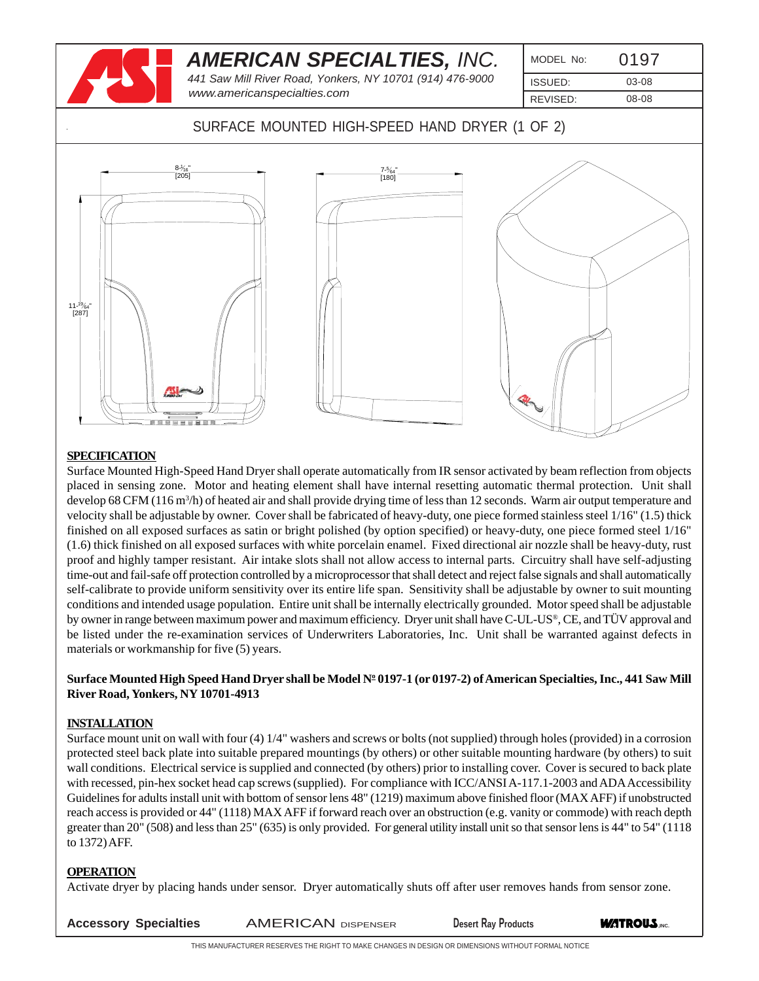|                                                 | <b>AMERICAN SPECIALTIES, INC.</b>         |                                                           |          |       |
|-------------------------------------------------|-------------------------------------------|-----------------------------------------------------------|----------|-------|
|                                                 |                                           | 441 Saw Mill River Road, Yonkers, NY 10701 (914) 476-9000 | ISSUED:  | 03-08 |
|                                                 | www.americanspecialties.com               |                                                           | REVISED: | 08-08 |
|                                                 |                                           | SURFACE MOUNTED HIGH-SPEED HAND DRYER (1 OF 2)            |          |       |
| $11 - \frac{19}{64}$<br>$[287]$<br>$n$ esco con | $\frac{8-\frac{1}{16}}{[205]}$<br>3888888 | 7-%4"<br>[180]                                            |          |       |

#### **SPECIFICATION**

Surface Mounted High-Speed Hand Dryer shall operate automatically from IR sensor activated by beam reflection from objects placed in sensing zone. Motor and heating element shall have internal resetting automatic thermal protection. Unit shall develop 68 CFM (116 m<sup>3</sup>/h) of heated air and shall provide drying time of less than 12 seconds. Warm air output temperature and velocity shall be adjustable by owner. Cover shall be fabricated of heavy-duty, one piece formed stainless steel 1/16" (1.5) thick finished on all exposed surfaces as satin or bright polished (by option specified) or heavy-duty, one piece formed steel 1/16" (1.6) thick finished on all exposed surfaces with white porcelain enamel. Fixed directional air nozzle shall be heavy-duty, rust proof and highly tamper resistant. Air intake slots shall not allow access to internal parts. Circuitry shall have self-adjusting time-out and fail-safe off protection controlled by a microprocessor that shall detect and reject false signals and shall automatically self-calibrate to provide uniform sensitivity over its entire life span. Sensitivity shall be adjustable by owner to suit mounting conditions and intended usage population. Entire unit shall be internally electrically grounded. Motor speed shall be adjustable by owner in range between maximum power and maximum efficiency. Dryer unit shall have C-UL-US®, CE, and TÜV approval and be listed under the re-examination services of Underwriters Laboratories, Inc. Unit shall be warranted against defects in materials or workmanship for five (5) years.

#### ${\bf Surface~M}$ ounted High Speed Hand Dryer shall be Model Nº 0197-1 (or 0197-2) of American Specialties, Inc., 441 Saw Mill **River Road, Yonkers, NY 10701-4913**

#### **INSTALLATION**

Surface mount unit on wall with four (4) 1/4" washers and screws or bolts (not supplied) through holes (provided) in a corrosion protected steel back plate into suitable prepared mountings (by others) or other suitable mounting hardware (by others) to suit wall conditions. Electrical service is supplied and connected (by others) prior to installing cover. Cover is secured to back plate with recessed, pin-hex socket head cap screws (supplied). For compliance with ICC/ANSI A-117.1-2003 and ADA Accessibility Guidelines for adults install unit with bottom of sensor lens 48" (1219) maximum above finished floor (MAX AFF) if unobstructed reach access is provided or 44" (1118) MAX AFF if forward reach over an obstruction (e.g. vanity or commode) with reach depth greater than 20" (508) and less than 25" (635) is only provided. For general utility install unit so that sensor lens is 44" to 54" (1118 to 1372) AFF.

#### **OPERATION**

Activate dryer by placing hands under sensor. Dryer automatically shuts off after user removes hands from sensor zone.

**ACCESSORY Specialties AMERICAN DISPENSER BESET Desert Ray Products <b>WATROUS** INC.